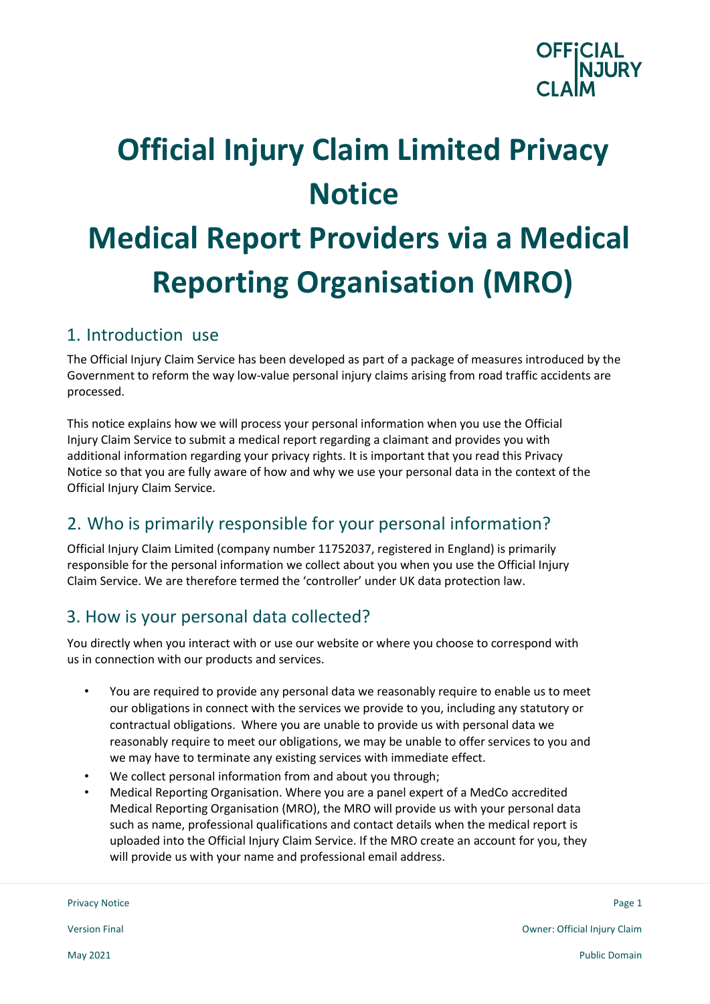

# **Official Injury Claim Limited Privacy Notice Medical Report Providers via a Medical Reporting Organisation (MRO)**

#### 1. Introduction use

The Official Injury Claim Service has been developed as part of a package of measures introduced by the Government to reform the way low-value personal injury claims arising from road traffic accidents are processed.

This notice explains how we will process your personal information when you use the Official Injury Claim Service to submit a medical report regarding a claimant and provides you with additional information regarding your privacy rights. It is important that you read this Privacy Notice so that you are fully aware of how and why we use your personal data in the context of the Official Injury Claim Service.

# 2. Who is primarily responsible for your personal information?

Official Injury Claim Limited (company number 11752037, registered in England) is primarily responsible for the personal information we collect about you when you use the Official Injury Claim Service. We are therefore termed the 'controller' under UK data protection law.

## 3. How is your personal data collected?

You directly when you interact with or use our website or where you choose to correspond with us in connection with our products and services.

- You are required to provide any personal data we reasonably require to enable us to meet our obligations in connect with the services we provide to you, including any statutory or contractual obligations. Where you are unable to provide us with personal data we reasonably require to meet our obligations, we may be unable to offer services to you and we may have to terminate any existing services with immediate effect.
- We collect personal information from and about you through;
- Medical Reporting Organisation. Where you are a panel expert of a MedCo accredited Medical Reporting Organisation (MRO), the MRO will provide us with your personal data such as name, professional qualifications and contact details when the medical report is uploaded into the Official Injury Claim Service. If the MRO create an account for you, they will provide us with your name and professional email address.

Privacy Notice Page 1  $\blacksquare$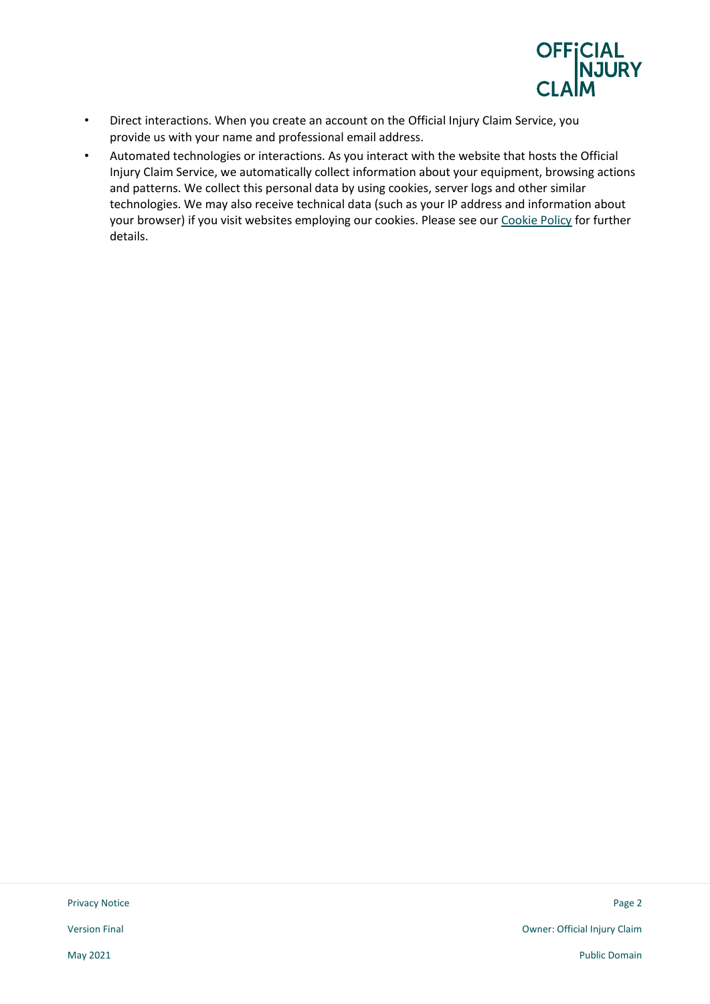

- Direct interactions. When you create an account on the Official Injury Claim Service, you provide us with your name and professional email address.
- Automated technologies or interactions. As you interact with the website that hosts the Official Injury Claim Service, we automatically collect information about your equipment, browsing actions and patterns. We collect this personal data by using cookies, server logs and other similar technologies. We may also receive technical data (such as your IP address and information about your browser) if you visit websites employing our cookies. Please see our [Cookie Policy](https://www.officialinjuryclaim.org.uk/cookies-policy/) for further details.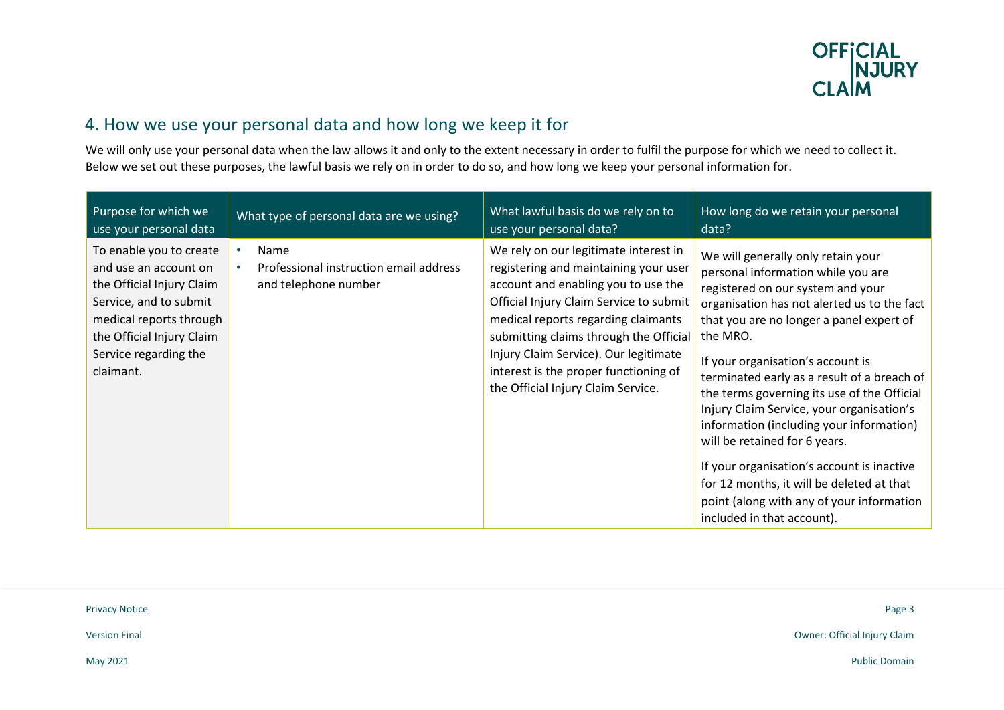

# 4. How we use your personal data and how long we keep it for

We will only use your personal data when the law allows it and only to the extent necessary in order to fulfil the purpose for which we need to collect it. Below we set out these purposes, the lawful basis we rely on in order to do so, and how long we keep your personal information for.

| Purpose for which we                                                                                                                                                                                  | What type of personal data are we using?                               | What lawful basis do we rely on to                                                                                                                                                                                                                                                                                                                                        | How long do we retain your personal                                                                                                                                                                                                                                                                                                                                                                                                                                                                                                                                                                                                                     |
|-------------------------------------------------------------------------------------------------------------------------------------------------------------------------------------------------------|------------------------------------------------------------------------|---------------------------------------------------------------------------------------------------------------------------------------------------------------------------------------------------------------------------------------------------------------------------------------------------------------------------------------------------------------------------|---------------------------------------------------------------------------------------------------------------------------------------------------------------------------------------------------------------------------------------------------------------------------------------------------------------------------------------------------------------------------------------------------------------------------------------------------------------------------------------------------------------------------------------------------------------------------------------------------------------------------------------------------------|
| use your personal data                                                                                                                                                                                |                                                                        | use your personal data?                                                                                                                                                                                                                                                                                                                                                   | data?                                                                                                                                                                                                                                                                                                                                                                                                                                                                                                                                                                                                                                                   |
| To enable you to create<br>and use an account on<br>the Official Injury Claim<br>Service, and to submit<br>medical reports through<br>the Official Injury Claim<br>Service regarding the<br>claimant. | Name<br>Professional instruction email address<br>and telephone number | We rely on our legitimate interest in<br>registering and maintaining your user<br>account and enabling you to use the<br>Official Injury Claim Service to submit<br>medical reports regarding claimants<br>submitting claims through the Official<br>Injury Claim Service). Our legitimate<br>interest is the proper functioning of<br>the Official Injury Claim Service. | We will generally only retain your<br>personal information while you are<br>registered on our system and your<br>organisation has not alerted us to the fact<br>that you are no longer a panel expert of<br>the MRO.<br>If your organisation's account is<br>terminated early as a result of a breach of<br>the terms governing its use of the Official<br>Injury Claim Service, your organisation's<br>information (including your information)<br>will be retained for 6 years.<br>If your organisation's account is inactive<br>for 12 months, it will be deleted at that<br>point (along with any of your information<br>included in that account). |

| <b>Privacy Notice</b> | Page 3                       |
|-----------------------|------------------------------|
| <b>Version Final</b>  | Owner: Official Injury Claim |
| May 2021              | <b>Public Domain</b>         |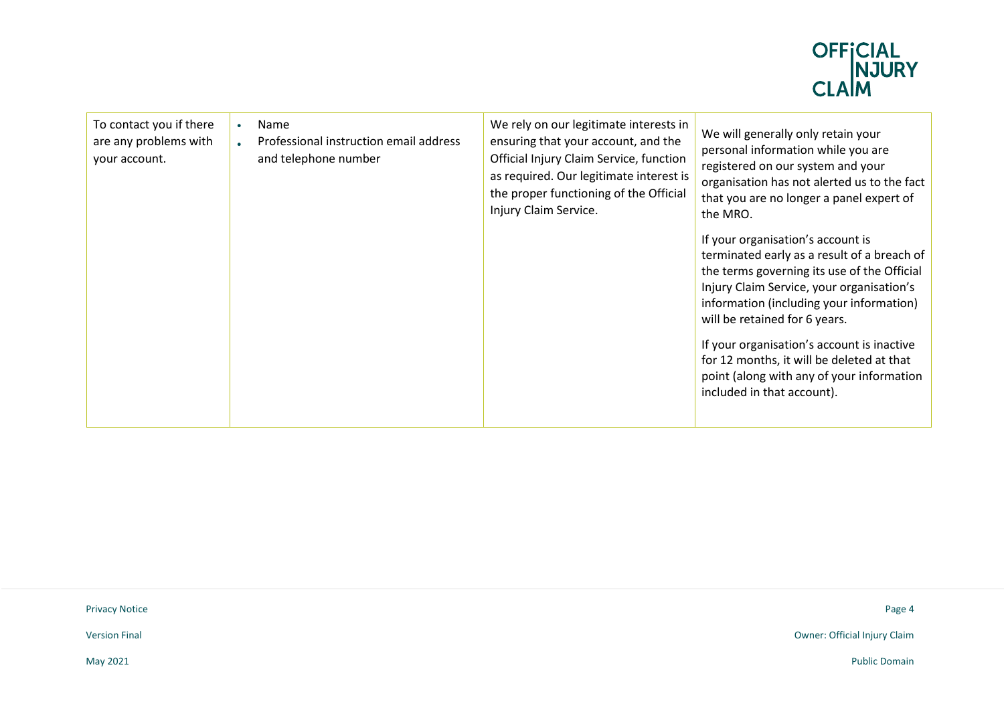

| To contact you if there<br>Name<br>$\bullet$<br>are any problems with<br>Professional instruction email address<br>and telephone number<br>your account. | We rely on our legitimate interests in<br>ensuring that your account, and the<br>Official Injury Claim Service, function<br>as required. Our legitimate interest is<br>the proper functioning of the Official<br>Injury Claim Service. | We will generally only retain your<br>personal information while you are<br>registered on our system and your<br>organisation has not alerted us to the fact<br>that you are no longer a panel expert of<br>the MRO.<br>If your organisation's account is<br>terminated early as a result of a breach of<br>the terms governing its use of the Official<br>Injury Claim Service, your organisation's<br>information (including your information)<br>will be retained for 6 years.<br>If your organisation's account is inactive<br>for 12 months, it will be deleted at that<br>point (along with any of your information<br>included in that account). |
|----------------------------------------------------------------------------------------------------------------------------------------------------------|----------------------------------------------------------------------------------------------------------------------------------------------------------------------------------------------------------------------------------------|---------------------------------------------------------------------------------------------------------------------------------------------------------------------------------------------------------------------------------------------------------------------------------------------------------------------------------------------------------------------------------------------------------------------------------------------------------------------------------------------------------------------------------------------------------------------------------------------------------------------------------------------------------|
|----------------------------------------------------------------------------------------------------------------------------------------------------------|----------------------------------------------------------------------------------------------------------------------------------------------------------------------------------------------------------------------------------------|---------------------------------------------------------------------------------------------------------------------------------------------------------------------------------------------------------------------------------------------------------------------------------------------------------------------------------------------------------------------------------------------------------------------------------------------------------------------------------------------------------------------------------------------------------------------------------------------------------------------------------------------------------|

Privacy Notice Page 4

Version Final Owner: Official Injury Claim

May 2021 Public Domain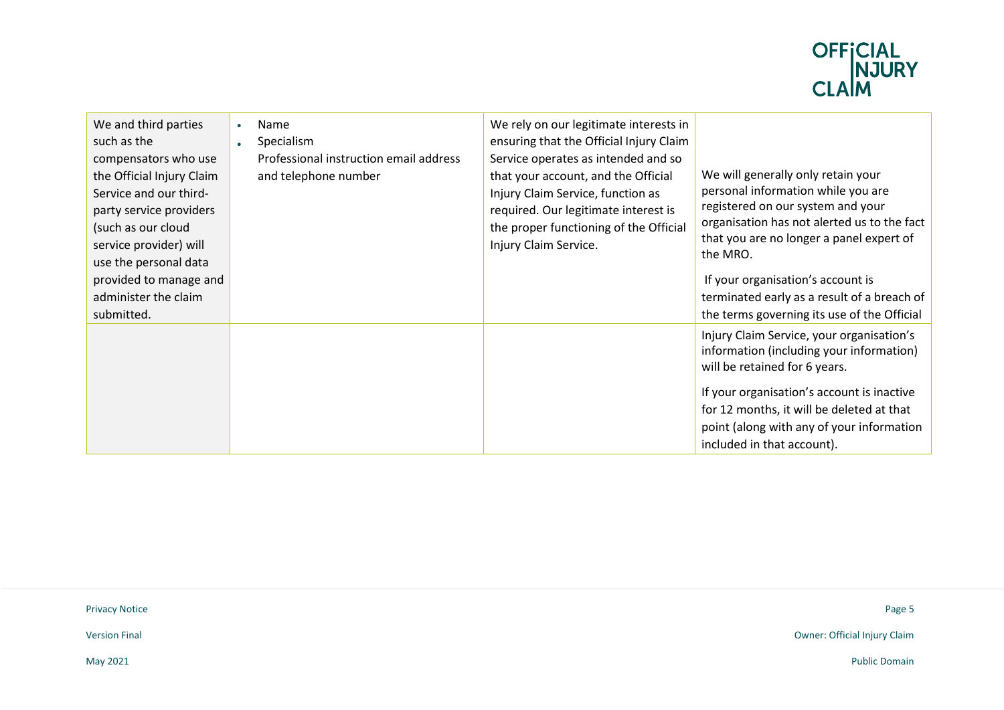

| We and third parties<br>such as the<br>compensators who use<br>the Official Injury Claim<br>Service and our third-<br>party service providers<br>(such as our cloud<br>service provider) will<br>use the personal data<br>provided to manage and<br>administer the claim<br>submitted. | $\bullet$<br>$\bullet$ | Name<br>Specialism<br>Professional instruction email address<br>and telephone number | We rely on our legitimate interests in<br>ensuring that the Official Injury Claim<br>Service operates as intended and so<br>that your account, and the Official<br>Injury Claim Service, function as<br>required. Our legitimate interest is<br>the proper functioning of the Official<br>Injury Claim Service. | We will generally only retain your<br>personal information while you are<br>registered on our system and your<br>organisation has not alerted us to the fact<br>that you are no longer a panel expert of<br>the MRO.<br>If your organisation's account is<br>terminated early as a result of a breach of<br>the terms governing its use of the Official |
|----------------------------------------------------------------------------------------------------------------------------------------------------------------------------------------------------------------------------------------------------------------------------------------|------------------------|--------------------------------------------------------------------------------------|-----------------------------------------------------------------------------------------------------------------------------------------------------------------------------------------------------------------------------------------------------------------------------------------------------------------|---------------------------------------------------------------------------------------------------------------------------------------------------------------------------------------------------------------------------------------------------------------------------------------------------------------------------------------------------------|
|                                                                                                                                                                                                                                                                                        |                        |                                                                                      |                                                                                                                                                                                                                                                                                                                 | Injury Claim Service, your organisation's<br>information (including your information)<br>will be retained for 6 years.<br>If your organisation's account is inactive<br>for 12 months, it will be deleted at that<br>point (along with any of your information<br>included in that account).                                                            |

Privacy Notice Page 5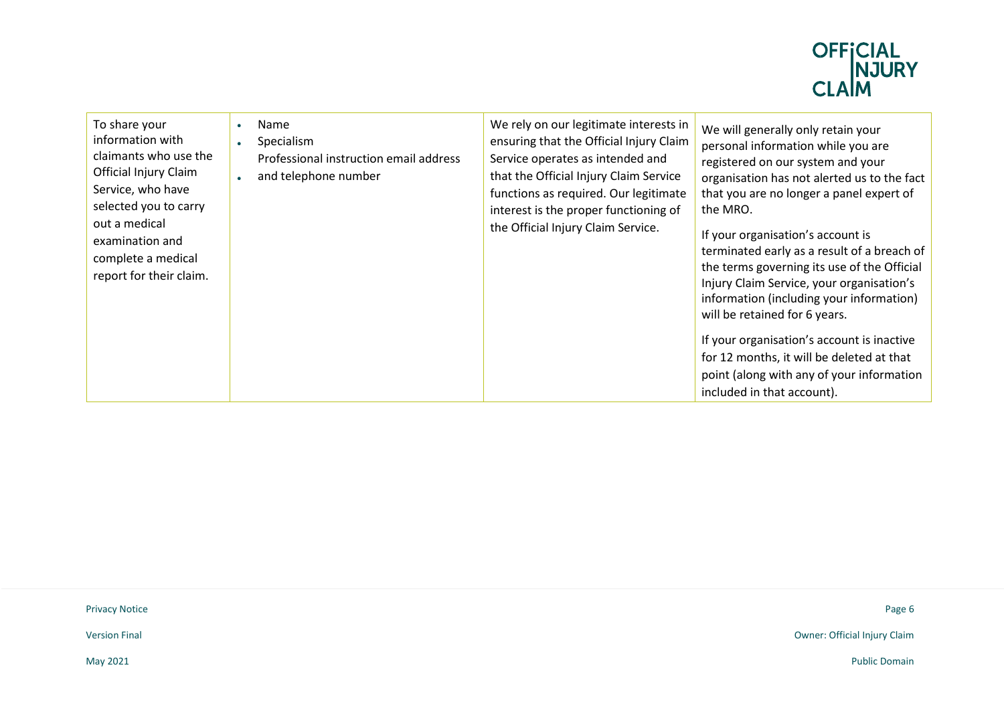

| To share your<br>information with<br>claimants who use the<br>Official Injury Claim<br>Service, who have<br>selected you to carry<br>out a medical<br>examination and<br>complete a medical<br>report for their claim. | $\bullet$<br>$\bullet$ | Name<br>Specialism<br>Professional instruction email address<br>and telephone number | We rely on our legitimate interests in<br>ensuring that the Official Injury Claim<br>Service operates as intended and<br>that the Official Injury Claim Service<br>functions as required. Our legitimate<br>interest is the proper functioning of<br>the Official Injury Claim Service. | We will generally only retain your<br>personal information while you are<br>registered on our system and your<br>organisation has not alerted us to the fact<br>that you are no longer a panel expert of<br>the MRO.<br>If your organisation's account is<br>terminated early as a result of a breach of<br>the terms governing its use of the Official<br>Injury Claim Service, your organisation's<br>information (including your information)<br>will be retained for 6 years.<br>If your organisation's account is inactive<br>for 12 months, it will be deleted at that<br>point (along with any of your information<br>included in that account). |
|------------------------------------------------------------------------------------------------------------------------------------------------------------------------------------------------------------------------|------------------------|--------------------------------------------------------------------------------------|-----------------------------------------------------------------------------------------------------------------------------------------------------------------------------------------------------------------------------------------------------------------------------------------|---------------------------------------------------------------------------------------------------------------------------------------------------------------------------------------------------------------------------------------------------------------------------------------------------------------------------------------------------------------------------------------------------------------------------------------------------------------------------------------------------------------------------------------------------------------------------------------------------------------------------------------------------------|
|------------------------------------------------------------------------------------------------------------------------------------------------------------------------------------------------------------------------|------------------------|--------------------------------------------------------------------------------------|-----------------------------------------------------------------------------------------------------------------------------------------------------------------------------------------------------------------------------------------------------------------------------------------|---------------------------------------------------------------------------------------------------------------------------------------------------------------------------------------------------------------------------------------------------------------------------------------------------------------------------------------------------------------------------------------------------------------------------------------------------------------------------------------------------------------------------------------------------------------------------------------------------------------------------------------------------------|

Privacy Notice Page 6

Version Final Owner: Official Injury Claim

May 2021 Public Domain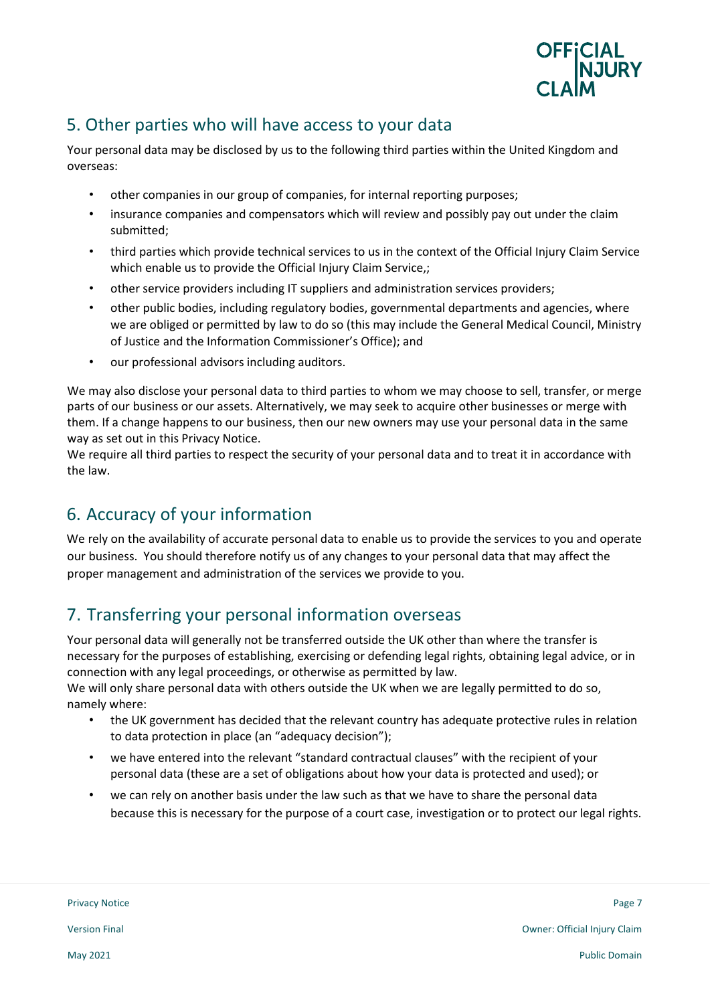

## 5. Other parties who will have access to your data

Your personal data may be disclosed by us to the following third parties within the United Kingdom and overseas:

- other companies in our group of companies, for internal reporting purposes;
- insurance companies and compensators which will review and possibly pay out under the claim submitted;
- third parties which provide technical services to us in the context of the Official Injury Claim Service which enable us to provide the Official Injury Claim Service,;
- other service providers including IT suppliers and administration services providers;
- other public bodies, including regulatory bodies, governmental departments and agencies, where we are obliged or permitted by law to do so (this may include the General Medical Council, Ministry of Justice and the Information Commissioner's Office); and
- our professional advisors including auditors.

We may also disclose your personal data to third parties to whom we may choose to sell, transfer, or merge parts of our business or our assets. Alternatively, we may seek to acquire other businesses or merge with them. If a change happens to our business, then our new owners may use your personal data in the same way as set out in this Privacy Notice.

We require all third parties to respect the security of your personal data and to treat it in accordance with the law.

# 6. Accuracy of your information

We rely on the availability of accurate personal data to enable us to provide the services to you and operate our business. You should therefore notify us of any changes to your personal data that may affect the proper management and administration of the services we provide to you.

## 7. Transferring your personal information overseas

Your personal data will generally not be transferred outside the UK other than where the transfer is necessary for the purposes of establishing, exercising or defending legal rights, obtaining legal advice, or in connection with any legal proceedings, or otherwise as permitted by law.

We will only share personal data with others outside the UK when we are legally permitted to do so, namely where:

- the UK government has decided that the relevant country has adequate protective rules in relation to data protection in place (an "adequacy decision");
- we have entered into the relevant "standard contractual clauses" with the recipient of your personal data (these are a set of obligations about how your data is protected and used); or
- we can rely on another basis under the law such as that we have to share the personal data because this is necessary for the purpose of a court case, investigation or to protect our legal rights.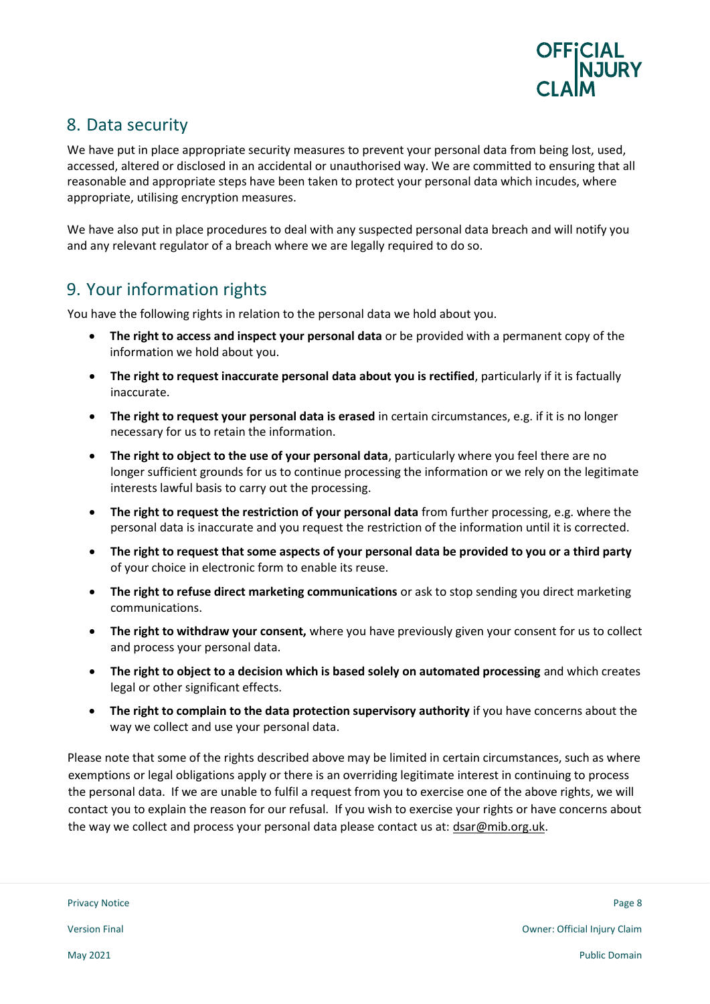

#### 8. Data security

We have put in place appropriate security measures to prevent your personal data from being lost, used, accessed, altered or disclosed in an accidental or unauthorised way. We are committed to ensuring that all reasonable and appropriate steps have been taken to protect your personal data which incudes, where appropriate, utilising encryption measures.

We have also put in place procedures to deal with any suspected personal data breach and will notify you and any relevant regulator of a breach where we are legally required to do so.

## 9. Your information rights

You have the following rights in relation to the personal data we hold about you.

- **The right to access and inspect your personal data** or be provided with a permanent copy of the information we hold about you.
- **The right to request inaccurate personal data about you is rectified**, particularly if it is factually inaccurate.
- **The right to request your personal data is erased** in certain circumstances, e.g. if it is no longer necessary for us to retain the information.
- **The right to object to the use of your personal data**, particularly where you feel there are no longer sufficient grounds for us to continue processing the information or we rely on the legitimate interests lawful basis to carry out the processing.
- **The right to request the restriction of your personal data** from further processing, e.g. where the personal data is inaccurate and you request the restriction of the information until it is corrected.
- **The right to request that some aspects of your personal data be provided to you or a third party** of your choice in electronic form to enable its reuse.
- **The right to refuse direct marketing communications** or ask to stop sending you direct marketing communications.
- **The right to withdraw your consent,** where you have previously given your consent for us to collect and process your personal data.
- **The right to object to a decision which is based solely on automated processing** and which creates legal or other significant effects.
- **The right to complain to the data protection supervisory authority** if you have concerns about the way we collect and use your personal data.

Please note that some of the rights described above may be limited in certain circumstances, such as where exemptions or legal obligations apply or there is an overriding legitimate interest in continuing to process the personal data. If we are unable to fulfil a request from you to exercise one of the above rights, we will contact you to explain the reason for our refusal. If you wish to exercise your rights or have concerns about the way we collect and process your personal data please contact us at: dsar@mib.org.uk.

Privacy Notice Page 8 بالمستخدم المستخدم المستخدم المستخدم المستخدم المستخدم المستخدم المستخدم المستخدم المستخدم المستخدم المستخدم المستخدم المستخدم المستخدم المستخدم المستخدم المستخدم المستخدم المستخدم المستخدم المستخدم ا